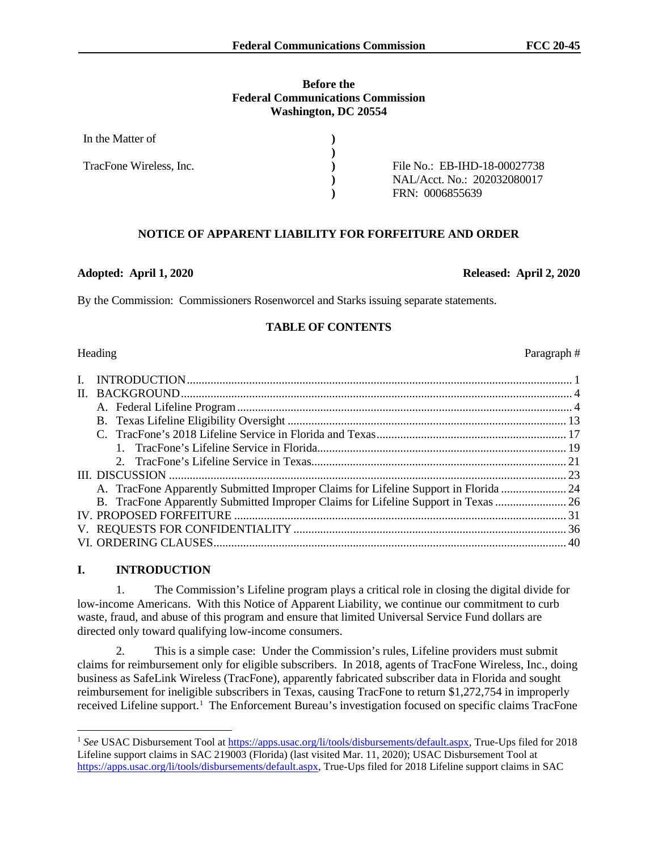#### **Before the Federal Communications Commission Washington, DC 20554**

| In the Matter of        |                              |
|-------------------------|------------------------------|
|                         |                              |
| TracFone Wireless, Inc. | File No.: EB-IHD-18-00027738 |
|                         | NAL/Acct. No.: 202032080017  |
|                         | FRN: 0006855639              |

# **NOTICE OF APPARENT LIABILITY FOR FORFEITURE AND ORDER**

#### **Adopted: April 1, 2020 Released: April 2, 2020**

By the Commission: Commissioners Rosenworcel and Starks issuing separate statements.

## **TABLE OF CONTENTS**

| A. TracFone Apparently Submitted Improper Claims for Lifeline Support in Florida  24 |  |
|--------------------------------------------------------------------------------------|--|
| B. TracFone Apparently Submitted Improper Claims for Lifeline Support in Texas  26   |  |
|                                                                                      |  |
|                                                                                      |  |
|                                                                                      |  |
|                                                                                      |  |

# **I. INTRODUCTION**

1. The Commission's Lifeline program plays a critical role in closing the digital divide for low-income Americans. With this Notice of Apparent Liability, we continue our commitment to curb waste, fraud, and abuse of this program and ensure that limited Universal Service Fund dollars are directed only toward qualifying low-income consumers.

2. This is a simple case: Under the Commission's rules, Lifeline providers must submit claims for reimbursement only for eligible subscribers. In 2018, agents of TracFone Wireless, Inc., doing business as SafeLink Wireless (TracFone), apparently fabricated subscriber data in Florida and sought reimbursement for ineligible subscribers in Texas, causing TracFone to return \$1,272,754 in improperly received Lifeline support.<sup>1</sup> The Enforcement Bureau's investigation focused on specific claims TracFone

Heading Paragraph #

<sup>1</sup> *See* USAC Disbursement Tool at https://apps.usac.org/li/tools/disbursements/default.aspx, True-Ups filed for 2018 Lifeline support claims in SAC 219003 (Florida) (last visited Mar. 11, 2020); USAC Disbursement Tool at https://apps.usac.org/li/tools/disbursements/default.aspx, True-Ups filed for 2018 Lifeline support claims in SAC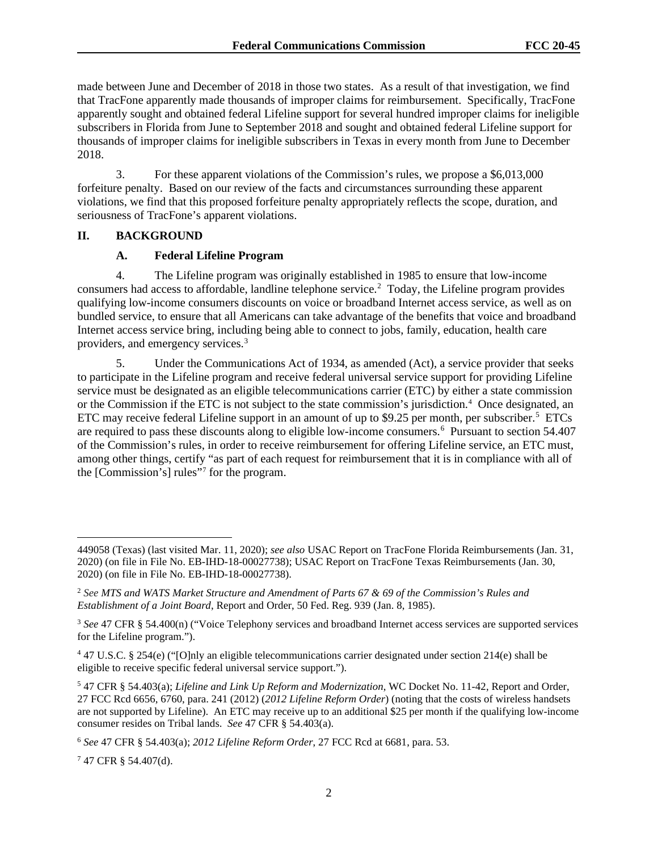made between June and December of 2018 in those two states. As a result of that investigation, we find that TracFone apparently made thousands of improper claims for reimbursement. Specifically, TracFone apparently sought and obtained federal Lifeline support for several hundred improper claims for ineligible subscribers in Florida from June to September 2018 and sought and obtained federal Lifeline support for thousands of improper claims for ineligible subscribers in Texas in every month from June to December 2018.

3. For these apparent violations of the Commission's rules, we propose a \$6,013,000 forfeiture penalty. Based on our review of the facts and circumstances surrounding these apparent violations, we find that this proposed forfeiture penalty appropriately reflects the scope, duration, and seriousness of TracFone's apparent violations.

## **II. BACKGROUND**

## **A. Federal Lifeline Program**

4. The Lifeline program was originally established in 1985 to ensure that low-income consumers had access to affordable, landline telephone service.<sup>2</sup> Today, the Lifeline program provides qualifying low-income consumers discounts on voice or broadband Internet access service, as well as on bundled service, to ensure that all Americans can take advantage of the benefits that voice and broadband Internet access service bring, including being able to connect to jobs, family, education, health care providers, and emergency services.<sup>3</sup>

5. Under the Communications Act of 1934, as amended (Act), a service provider that seeks to participate in the Lifeline program and receive federal universal service support for providing Lifeline service must be designated as an eligible telecommunications carrier (ETC) by either a state commission or the Commission if the ETC is not subject to the state commission's jurisdiction. 4 Once designated, an ETC may receive federal Lifeline support in an amount of up to \$9.25 per month, per subscriber.<sup>5</sup> ETCs are required to pass these discounts along to eligible low-income consumers.<sup>6</sup> Pursuant to section 54.407 of the Commission's rules, in order to receive reimbursement for offering Lifeline service, an ETC must, among other things, certify "as part of each request for reimbursement that it is in compliance with all of the [Commission's] rules"7 for the program.

<sup>449058 (</sup>Texas) (last visited Mar. 11, 2020); *see also* USAC Report on TracFone Florida Reimbursements (Jan. 31, 2020) (on file in File No. EB-IHD-18-00027738); USAC Report on TracFone Texas Reimbursements (Jan. 30, 2020) (on file in File No. EB-IHD-18-00027738).

<sup>2</sup> *See MTS and WATS Market Structure and Amendment of Parts 67 & 69 of the Commission's Rules and Establishment of a Joint Board*, Report and Order, 50 Fed. Reg. 939 (Jan. 8, 1985).

<sup>3</sup> *See* 47 CFR § 54.400(n) ("Voice Telephony services and broadband Internet access services are supported services for the Lifeline program.").

<sup>4</sup> 47 U.S.C. § 254(e) ("[O]nly an eligible telecommunications carrier designated under section 214(e) shall be eligible to receive specific federal universal service support.").

<sup>5</sup> 47 CFR § 54.403(a); *Lifeline and Link Up Reform and Modernization*, WC Docket No. 11-42, Report and Order, 27 FCC Rcd 6656, 6760, para. 241 (2012) (*2012 Lifeline Reform Order*) (noting that the costs of wireless handsets are not supported by Lifeline). An ETC may receive up to an additional \$25 per month if the qualifying low-income consumer resides on Tribal lands. *See* 47 CFR § 54.403(a).

<sup>6</sup> *See* 47 CFR § 54.403(a); *2012 Lifeline Reform Order*, 27 FCC Rcd at 6681, para. 53.

 $747$  CFR  $§$  54.407(d).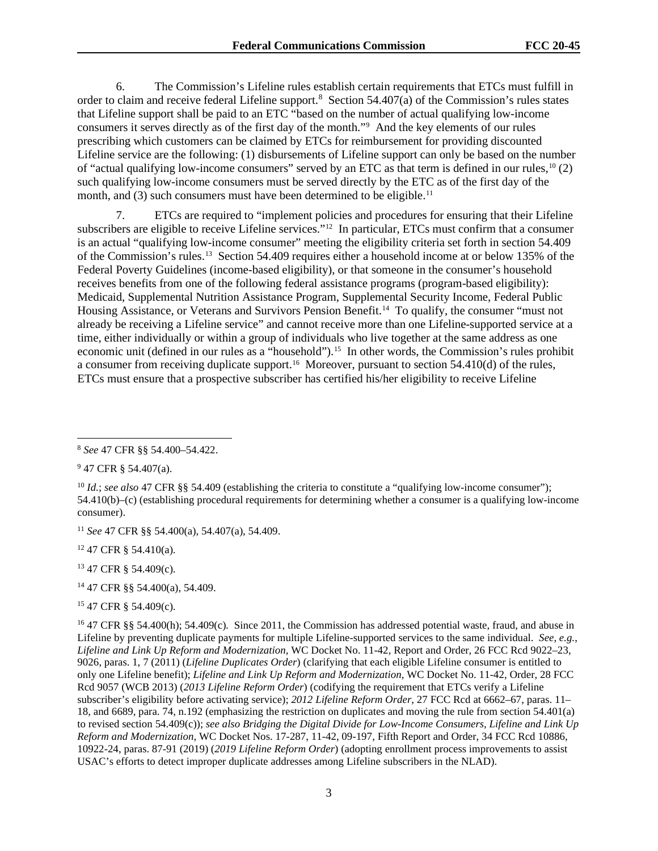6. The Commission's Lifeline rules establish certain requirements that ETCs must fulfill in order to claim and receive federal Lifeline support.<sup>8</sup> Section 54.407(a) of the Commission's rules states that Lifeline support shall be paid to an ETC "based on the number of actual qualifying low-income consumers it serves directly as of the first day of the month."9 And the key elements of our rules prescribing which customers can be claimed by ETCs for reimbursement for providing discounted Lifeline service are the following: (1) disbursements of Lifeline support can only be based on the number of "actual qualifying low-income consumers" served by an ETC as that term is defined in our rules,<sup>10</sup> (2) such qualifying low-income consumers must be served directly by the ETC as of the first day of the month, and (3) such consumers must have been determined to be eligible.<sup>11</sup>

7. ETCs are required to "implement policies and procedures for ensuring that their Lifeline subscribers are eligible to receive Lifeline services."<sup>12</sup> In particular, ETCs must confirm that a consumer is an actual "qualifying low-income consumer" meeting the eligibility criteria set forth in section 54.409 of the Commission's rules.13 Section 54.409 requires either a household income at or below 135% of the Federal Poverty Guidelines (income-based eligibility), or that someone in the consumer's household receives benefits from one of the following federal assistance programs (program-based eligibility): Medicaid, Supplemental Nutrition Assistance Program, Supplemental Security Income, Federal Public Housing Assistance, or Veterans and Survivors Pension Benefit.14 To qualify, the consumer "must not already be receiving a Lifeline service" and cannot receive more than one Lifeline-supported service at a time, either individually or within a group of individuals who live together at the same address as one economic unit (defined in our rules as a "household").<sup>15</sup> In other words, the Commission's rules prohibit a consumer from receiving duplicate support.<sup>16</sup> Moreover, pursuant to section 54.410(d) of the rules, ETCs must ensure that a prospective subscriber has certified his/her eligibility to receive Lifeline

<sup>12</sup> 47 CFR § 54.410(a).

<sup>13</sup> 47 CFR § 54.409(c).

14 47 CFR §§ 54.400(a), 54.409.

<sup>15</sup> 47 CFR § 54.409(c).

<sup>8</sup> *See* 47 CFR §§ 54.400–54.422.

<sup>9</sup> 47 CFR § 54.407(a).

<sup>10</sup> *Id.*; *see also* 47 CFR §§ 54.409 (establishing the criteria to constitute a "qualifying low-income consumer"); 54.410(b)–(c) (establishing procedural requirements for determining whether a consumer is a qualifying low-income consumer).

<sup>11</sup> *See* 47 CFR §§ 54.400(a), 54.407(a), 54.409.

<sup>&</sup>lt;sup>16</sup> 47 CFR §§ 54.400(h); 54.409(c). Since 2011, the Commission has addressed potential waste, fraud, and abuse in Lifeline by preventing duplicate payments for multiple Lifeline-supported services to the same individual. *See, e.g.*, *Lifeline and Link Up Reform and Modernization*, WC Docket No. 11-42, Report and Order, 26 FCC Rcd 9022–23, 9026, paras. 1, 7 (2011) (*Lifeline Duplicates Order*) (clarifying that each eligible Lifeline consumer is entitled to only one Lifeline benefit); *Lifeline and Link Up Reform and Modernization*, WC Docket No. 11-42, Order, 28 FCC Rcd 9057 (WCB 2013) (*2013 Lifeline Reform Order*) (codifying the requirement that ETCs verify a Lifeline subscriber's eligibility before activating service); *2012 Lifeline Reform Order*, 27 FCC Rcd at 6662–67, paras. 11– 18, and 6689, para. 74, n.192 (emphasizing the restriction on duplicates and moving the rule from section 54.401(a) to revised section 54.409(c)); *see also Bridging the Digital Divide for Low-Income Consumers, Lifeline and Link Up Reform and Modernization*, WC Docket Nos. 17-287, 11-42, 09-197, Fifth Report and Order, 34 FCC Rcd 10886, 10922-24, paras. 87-91 (2019) (*2019 Lifeline Reform Order*) (adopting enrollment process improvements to assist USAC's efforts to detect improper duplicate addresses among Lifeline subscribers in the NLAD).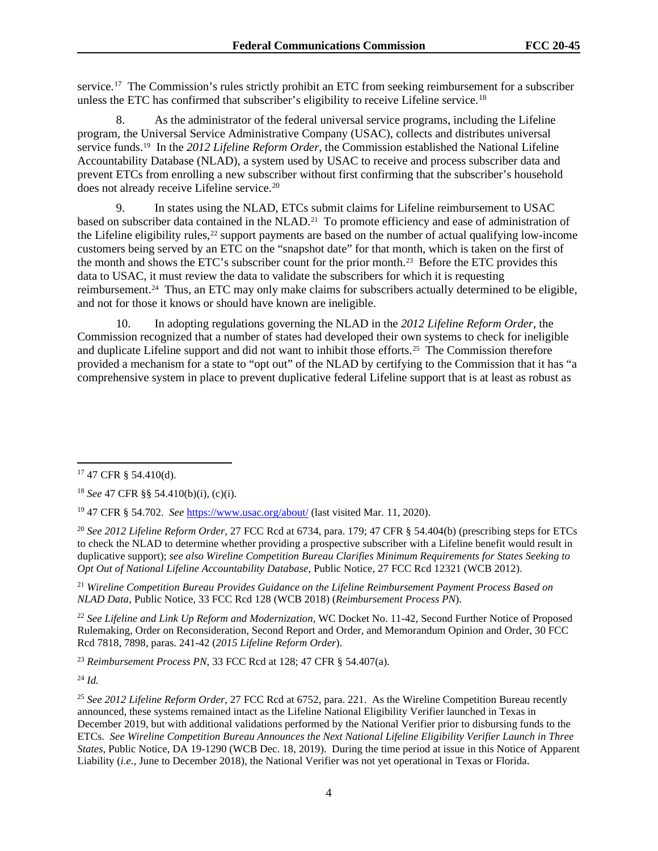service.<sup>17</sup> The Commission's rules strictly prohibit an ETC from seeking reimbursement for a subscriber unless the ETC has confirmed that subscriber's eligibility to receive Lifeline service.<sup>18</sup>

8. As the administrator of the federal universal service programs, including the Lifeline program, the Universal Service Administrative Company (USAC), collects and distributes universal service funds.19 In the *2012 Lifeline Reform Order*, the Commission established the National Lifeline Accountability Database (NLAD), a system used by USAC to receive and process subscriber data and prevent ETCs from enrolling a new subscriber without first confirming that the subscriber's household does not already receive Lifeline service.<sup>20</sup>

9. In states using the NLAD, ETCs submit claims for Lifeline reimbursement to USAC based on subscriber data contained in the NLAD.<sup>21</sup> To promote efficiency and ease of administration of the Lifeline eligibility rules,  $^{22}$  support payments are based on the number of actual qualifying low-income customers being served by an ETC on the "snapshot date" for that month, which is taken on the first of the month and shows the ETC's subscriber count for the prior month.<sup>23</sup> Before the ETC provides this data to USAC, it must review the data to validate the subscribers for which it is requesting reimbursement.<sup>24</sup> Thus, an ETC may only make claims for subscribers actually determined to be eligible, and not for those it knows or should have known are ineligible.

10. In adopting regulations governing the NLAD in the *2012 Lifeline Reform Order*, the Commission recognized that a number of states had developed their own systems to check for ineligible and duplicate Lifeline support and did not want to inhibit those efforts.<sup>25</sup> The Commission therefore provided a mechanism for a state to "opt out" of the NLAD by certifying to the Commission that it has "a comprehensive system in place to prevent duplicative federal Lifeline support that is at least as robust as

<sup>21</sup> *Wireline Competition Bureau Provides Guidance on the Lifeline Reimbursement Payment Process Based on NLAD Data*, Public Notice, 33 FCC Rcd 128 (WCB 2018) (*Reimbursement Process PN*).

<sup>22</sup> *See Lifeline and Link Up Reform and Modernization*, WC Docket No. 11-42, Second Further Notice of Proposed Rulemaking, Order on Reconsideration, Second Report and Order, and Memorandum Opinion and Order, 30 FCC Rcd 7818, 7898, paras. 241-42 (*2015 Lifeline Reform Order*).

<sup>23</sup> *Reimbursement Process PN*, 33 FCC Rcd at 128; 47 CFR § 54.407(a).

<sup>24</sup> *Id.*

<sup>25</sup> *See 2012 Lifeline Reform Order*, 27 FCC Rcd at 6752, para. 221. As the Wireline Competition Bureau recently announced, these systems remained intact as the Lifeline National Eligibility Verifier launched in Texas in December 2019, but with additional validations performed by the National Verifier prior to disbursing funds to the ETCs. *See Wireline Competition Bureau Announces the Next National Lifeline Eligibility Verifier Launch in Three States*, Public Notice, DA 19-1290 (WCB Dec. 18, 2019). During the time period at issue in this Notice of Apparent Liability (*i.e.,* June to December 2018), the National Verifier was not yet operational in Texas or Florida.

<sup>17</sup> 47 CFR § 54.410(d).

<sup>18</sup> *See* 47 CFR §§ 54.410(b)(i), (c)(i).

<sup>19</sup> 47 CFR § 54.702. *See* https://www.usac.org/about/ (last visited Mar. 11, 2020).

<sup>20</sup> *See 2012 Lifeline Reform Order*, 27 FCC Rcd at 6734, para. 179; 47 CFR § 54.404(b) (prescribing steps for ETCs to check the NLAD to determine whether providing a prospective subscriber with a Lifeline benefit would result in duplicative support); *see also Wireline Competition Bureau Clarifies Minimum Requirements for States Seeking to Opt Out of National Lifeline Accountability Database*, Public Notice, 27 FCC Rcd 12321 (WCB 2012).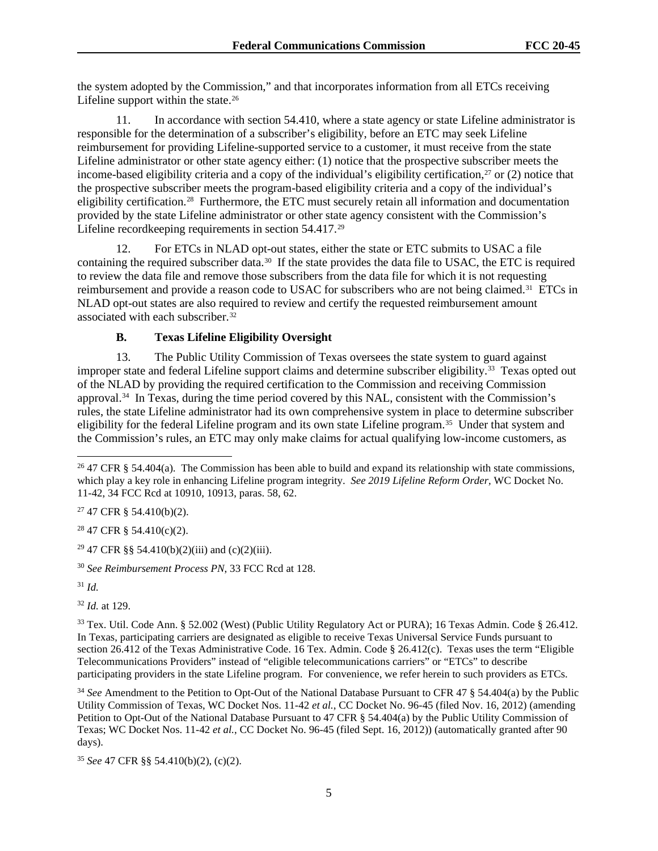the system adopted by the Commission," and that incorporates information from all ETCs receiving Lifeline support within the state. $26$ 

11. In accordance with section 54.410, where a state agency or state Lifeline administrator is responsible for the determination of a subscriber's eligibility, before an ETC may seek Lifeline reimbursement for providing Lifeline-supported service to a customer, it must receive from the state Lifeline administrator or other state agency either: (1) notice that the prospective subscriber meets the income-based eligibility criteria and a copy of the individual's eligibility certification, $27$  or (2) notice that the prospective subscriber meets the program-based eligibility criteria and a copy of the individual's eligibility certification.28 Furthermore, the ETC must securely retain all information and documentation provided by the state Lifeline administrator or other state agency consistent with the Commission's Lifeline recordkeeping requirements in section 54.417.29

12. For ETCs in NLAD opt-out states, either the state or ETC submits to USAC a file containing the required subscriber data.<sup>30</sup> If the state provides the data file to USAC, the ETC is required to review the data file and remove those subscribers from the data file for which it is not requesting reimbursement and provide a reason code to USAC for subscribers who are not being claimed.<sup>31</sup> ETCs in NLAD opt-out states are also required to review and certify the requested reimbursement amount associated with each subscriber.<sup>32</sup>

# **B. Texas Lifeline Eligibility Oversight**

13. The Public Utility Commission of Texas oversees the state system to guard against improper state and federal Lifeline support claims and determine subscriber eligibility.33 Texas opted out of the NLAD by providing the required certification to the Commission and receiving Commission approval.34 In Texas, during the time period covered by this NAL, consistent with the Commission's rules, the state Lifeline administrator had its own comprehensive system in place to determine subscriber eligibility for the federal Lifeline program and its own state Lifeline program.35 Under that system and the Commission's rules, an ETC may only make claims for actual qualifying low-income customers, as

 $27$  47 CFR § 54.410(b)(2).

 $28$  47 CFR § 54.410(c)(2).

<sup>29</sup> 47 CFR §§ 54.410(b)(2)(iii) and (c)(2)(iii).

<sup>30</sup> *See Reimbursement Process PN*, 33 FCC Rcd at 128.

<sup>31</sup> *Id.*

<sup>32</sup> *Id.* at 129.

<sup>34</sup> *See* Amendment to the Petition to Opt-Out of the National Database Pursuant to CFR 47 § 54.404(a) by the Public Utility Commission of Texas, WC Docket Nos. 11-42 *et al.*, CC Docket No. 96-45 (filed Nov. 16, 2012) (amending Petition to Opt-Out of the National Database Pursuant to 47 CFR § 54.404(a) by the Public Utility Commission of Texas; WC Docket Nos. 11-42 *et al.*, CC Docket No. 96-45 (filed Sept. 16, 2012)) (automatically granted after 90 days).

<sup>35</sup> *See* 47 CFR §§ 54.410(b)(2), (c)(2).

<sup>&</sup>lt;sup>26</sup> 47 CFR § 54.404(a). The Commission has been able to build and expand its relationship with state commissions, which play a key role in enhancing Lifeline program integrity. *See 2019 Lifeline Reform Order,* WC Docket No. 11-42, 34 FCC Rcd at 10910, 10913, paras. 58, 62.

<sup>33</sup> Tex. Util. Code Ann. § 52.002 (West) (Public Utility Regulatory Act or PURA); 16 Texas Admin. Code § 26.412. In Texas, participating carriers are designated as eligible to receive Texas Universal Service Funds pursuant to section 26.412 of the Texas Administrative Code. 16 Tex. Admin. Code § 26.412(c). Texas uses the term "Eligible Telecommunications Providers" instead of "eligible telecommunications carriers" or "ETCs" to describe participating providers in the state Lifeline program. For convenience, we refer herein to such providers as ETCs.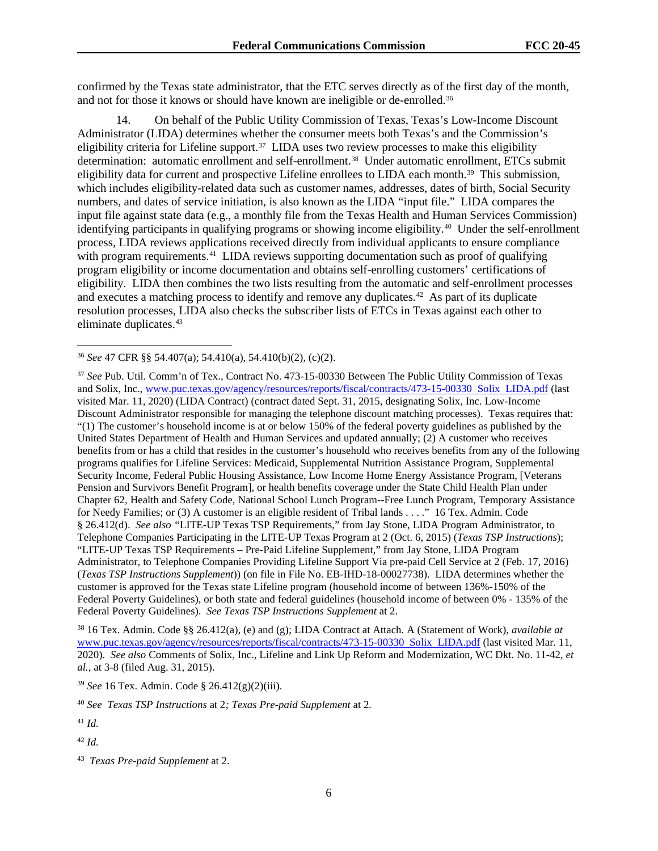confirmed by the Texas state administrator, that the ETC serves directly as of the first day of the month, and not for those it knows or should have known are ineligible or de-enrolled.<sup>36</sup>

14. On behalf of the Public Utility Commission of Texas, Texas's Low-Income Discount Administrator (LIDA) determines whether the consumer meets both Texas's and the Commission's eligibility criteria for Lifeline support.<sup>37</sup> LIDA uses two review processes to make this eligibility determination: automatic enrollment and self-enrollment.38 Under automatic enrollment, ETCs submit eligibility data for current and prospective Lifeline enrollees to LIDA each month.<sup>39</sup> This submission, which includes eligibility-related data such as customer names, addresses, dates of birth, Social Security numbers, and dates of service initiation, is also known as the LIDA "input file." LIDA compares the input file against state data (e.g., a monthly file from the Texas Health and Human Services Commission) identifying participants in qualifying programs or showing income eligibility.40 Under the self-enrollment process, LIDA reviews applications received directly from individual applicants to ensure compliance with program requirements.<sup>41</sup> LIDA reviews supporting documentation such as proof of qualifying program eligibility or income documentation and obtains self-enrolling customers' certifications of eligibility. LIDA then combines the two lists resulting from the automatic and self-enrollment processes and executes a matching process to identify and remove any duplicates.<sup>42</sup> As part of its duplicate resolution processes, LIDA also checks the subscriber lists of ETCs in Texas against each other to eliminate duplicates.43

<sup>36</sup> *See* 47 CFR §§ 54.407(a); 54.410(a), 54.410(b)(2), (c)(2).

<sup>37</sup> *See* Pub. Util. Comm'n of Tex., Contract No. 473-15-00330 Between The Public Utility Commission of Texas and Solix, Inc., www.puc.texas.gov/agency/resources/reports/fiscal/contracts/473-15-00330 Solix LIDA.pdf (last visited Mar. 11, 2020) (LIDA Contract) (contract dated Sept. 31, 2015, designating Solix, Inc. Low-Income Discount Administrator responsible for managing the telephone discount matching processes). Texas requires that: "(1) The customer's household income is at or below 150% of the federal poverty guidelines as published by the United States Department of Health and Human Services and updated annually; (2) A customer who receives benefits from or has a child that resides in the customer's household who receives benefits from any of the following programs qualifies for Lifeline Services: Medicaid, Supplemental Nutrition Assistance Program, Supplemental Security Income, Federal Public Housing Assistance, Low Income Home Energy Assistance Program, [Veterans Pension and Survivors Benefit Program], or health benefits coverage under the State Child Health Plan under Chapter 62, Health and Safety Code, National School Lunch Program--Free Lunch Program, Temporary Assistance for Needy Families; or (3) A customer is an eligible resident of Tribal lands . . . ." 16 Tex. Admin. Code § 26.412(d). *See also "*LITE-UP Texas TSP Requirements," from Jay Stone, LIDA Program Administrator, to Telephone Companies Participating in the LITE-UP Texas Program at 2 (Oct. 6, 2015) (*Texas TSP Instructions*); "LITE-UP Texas TSP Requirements – Pre-Paid Lifeline Supplement," from Jay Stone, LIDA Program Administrator, to Telephone Companies Providing Lifeline Support Via pre-paid Cell Service at 2 (Feb. 17, 2016) (*Texas TSP Instructions Supplement*)) (on file in File No. EB-IHD-18-00027738). LIDA determines whether the customer is approved for the Texas state Lifeline program (household income of between 136%-150% of the Federal Poverty Guidelines), or both state and federal guidelines (household income of between 0% - 135% of the Federal Poverty Guidelines). *See Texas TSP Instructions Supplement* at 2.

<sup>38</sup> 16 Tex. Admin. Code §§ 26.412(a), (e) and (g); LIDA Contract at Attach. A (Statement of Work), *available at* www.puc.texas.gov/agency/resources/reports/fiscal/contracts/473-15-00330 Solix LIDA.pdf (last visited Mar. 11, 2020). *See also* Comments of Solix, Inc., Lifeline and Link Up Reform and Modernization, WC Dkt. No. 11-42, *et al.*, at 3-8 (filed Aug. 31, 2015).

<sup>39</sup> *See* 16 Tex. Admin. Code § 26.412(g)(2)(iii).

<sup>40</sup> *See Texas TSP Instructions* at 2*; Texas Pre-paid Supplement* at 2*.*

<sup>41</sup> *Id.*

<sup>42</sup> *Id.*

<sup>43</sup> *Texas Pre-paid Supplement* at 2.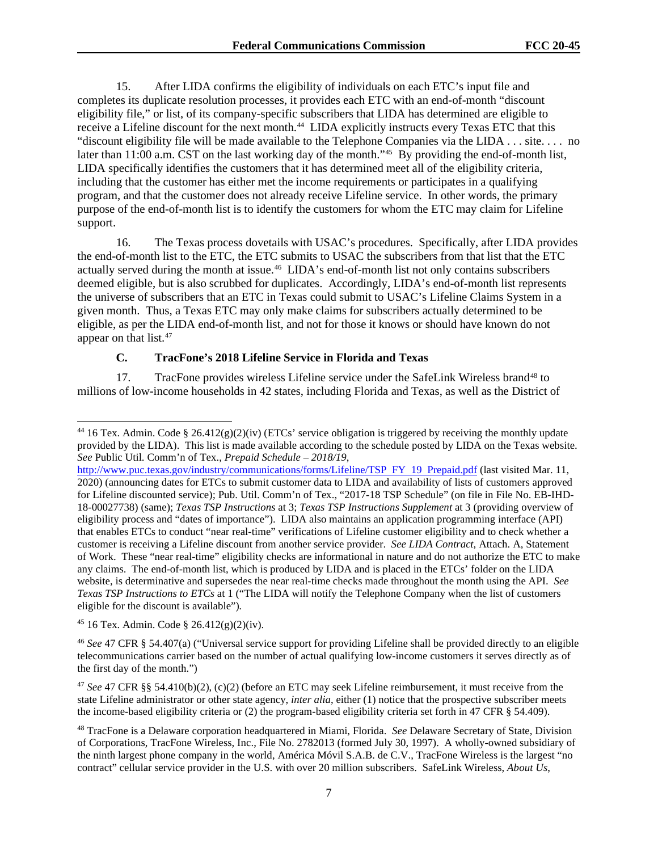15. After LIDA confirms the eligibility of individuals on each ETC's input file and completes its duplicate resolution processes, it provides each ETC with an end-of-month "discount eligibility file," or list, of its company-specific subscribers that LIDA has determined are eligible to receive a Lifeline discount for the next month.<sup>44</sup> LIDA explicitly instructs every Texas ETC that this "discount eligibility file will be made available to the Telephone Companies via the LIDA . . . site. . . . no later than 11:00 a.m. CST on the last working day of the month."<sup>45</sup> By providing the end-of-month list, LIDA specifically identifies the customers that it has determined meet all of the eligibility criteria, including that the customer has either met the income requirements or participates in a qualifying program, and that the customer does not already receive Lifeline service. In other words, the primary purpose of the end-of-month list is to identify the customers for whom the ETC may claim for Lifeline support.

16. The Texas process dovetails with USAC's procedures. Specifically, after LIDA provides the end-of-month list to the ETC, the ETC submits to USAC the subscribers from that list that the ETC actually served during the month at issue.46 LIDA's end-of-month list not only contains subscribers deemed eligible, but is also scrubbed for duplicates. Accordingly, LIDA's end-of-month list represents the universe of subscribers that an ETC in Texas could submit to USAC's Lifeline Claims System in a given month. Thus, a Texas ETC may only make claims for subscribers actually determined to be eligible, as per the LIDA end-of-month list, and not for those it knows or should have known do not appear on that list.47

# **C. TracFone's 2018 Lifeline Service in Florida and Texas**

17. TracFone provides wireless Lifeline service under the SafeLink Wireless brand48 to millions of low-income households in 42 states, including Florida and Texas, as well as the District of

 $45$  16 Tex. Admin. Code § 26.412(g)(2)(iv).

<sup>46</sup> *See* 47 CFR § 54.407(a) ("Universal service support for providing Lifeline shall be provided directly to an eligible telecommunications carrier based on the number of actual qualifying low-income customers it serves directly as of the first day of the month.")

<sup>47</sup> *See* 47 CFR §§ 54.410(b)(2), (c)(2) (before an ETC may seek Lifeline reimbursement, it must receive from the state Lifeline administrator or other state agency, *inter alia*, either (1) notice that the prospective subscriber meets the income-based eligibility criteria or (2) the program-based eligibility criteria set forth in 47 CFR § 54.409).

<sup>&</sup>lt;sup>44</sup> 16 Tex. Admin. Code § 26.412(g)(2)(iv) (ETCs' service obligation is triggered by receiving the monthly update provided by the LIDA). This list is made available according to the schedule posted by LIDA on the Texas website. *See* Public Util. Comm'n of Tex., *Prepaid Schedule – 2018/19*,

http://www.puc.texas.gov/industry/communications/forms/Lifeline/TSP FY 19 Prepaid.pdf (last visited Mar. 11, 2020) (announcing dates for ETCs to submit customer data to LIDA and availability of lists of customers approved for Lifeline discounted service); Pub. Util. Comm'n of Tex., "2017-18 TSP Schedule" (on file in File No. EB-IHD-18-00027738) (same); *Texas TSP Instructions* at 3; *Texas TSP Instructions Supplement* at 3 (providing overview of eligibility process and "dates of importance"). LIDA also maintains an application programming interface (API) that enables ETCs to conduct "near real-time" verifications of Lifeline customer eligibility and to check whether a customer is receiving a Lifeline discount from another service provider. *See LIDA Contract*, Attach. A, Statement of Work. These "near real-time" eligibility checks are informational in nature and do not authorize the ETC to make any claims. The end-of-month list, which is produced by LIDA and is placed in the ETCs' folder on the LIDA website, is determinative and supersedes the near real-time checks made throughout the month using the API. *See Texas TSP Instructions to ETCs* at 1 ("The LIDA will notify the Telephone Company when the list of customers eligible for the discount is available")*.*

<sup>48</sup> TracFone is a Delaware corporation headquartered in Miami, Florida. *See* Delaware Secretary of State, Division of Corporations, TracFone Wireless, Inc., File No. 2782013 (formed July 30, 1997). A wholly-owned subsidiary of the ninth largest phone company in the world, América Móvil S.A.B. de C.V., TracFone Wireless is the largest "no contract" cellular service provider in the U.S. with over 20 million subscribers. SafeLink Wireless, *About Us*,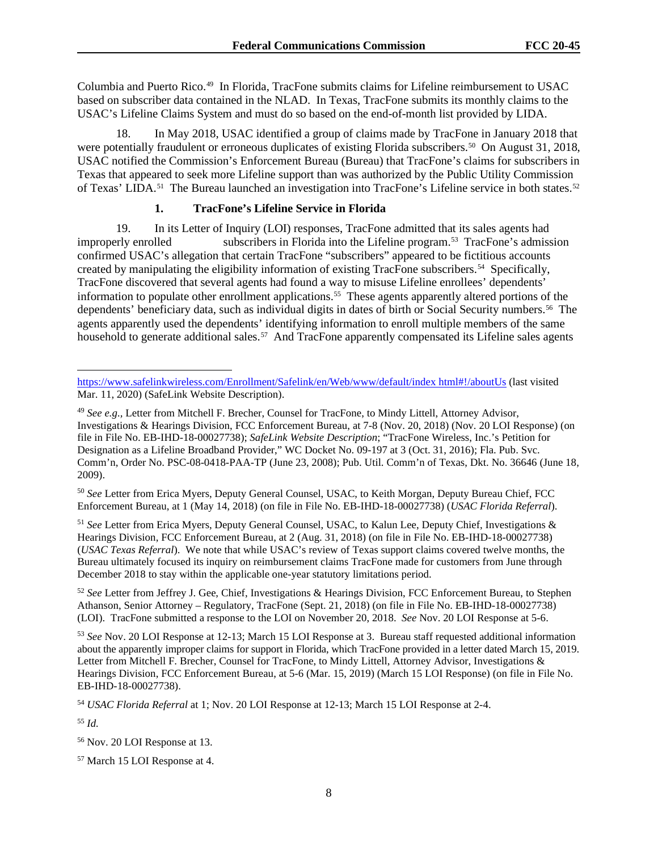Columbia and Puerto Rico.49 In Florida, TracFone submits claims for Lifeline reimbursement to USAC based on subscriber data contained in the NLAD. In Texas, TracFone submits its monthly claims to the USAC's Lifeline Claims System and must do so based on the end-of-month list provided by LIDA.

18. In May 2018, USAC identified a group of claims made by TracFone in January 2018 that were potentially fraudulent or erroneous duplicates of existing Florida subscribers.<sup>50</sup> On August 31, 2018, USAC notified the Commission's Enforcement Bureau (Bureau) that TracFone's claims for subscribers in Texas that appeared to seek more Lifeline support than was authorized by the Public Utility Commission of Texas' LIDA.<sup>51</sup> The Bureau launched an investigation into TracFone's Lifeline service in both states.<sup>52</sup>

## **1. TracFone's Lifeline Service in Florida**

19. In its Letter of Inquiry (LOI) responses, TracFone admitted that its sales agents had improperly enrolled subscribers in Florida into the Lifeline program.<sup>53</sup> TracFone's admission confirmed USAC's allegation that certain TracFone "subscribers" appeared to be fictitious accounts created by manipulating the eligibility information of existing TracFone subscribers.<sup>54</sup> Specifically, TracFone discovered that several agents had found a way to misuse Lifeline enrollees' dependents' information to populate other enrollment applications.55 These agents apparently altered portions of the dependents' beneficiary data, such as individual digits in dates of birth or Social Security numbers.<sup>56</sup> The agents apparently used the dependents' identifying information to enroll multiple members of the same household to generate additional sales.<sup>57</sup> And TracFone apparently compensated its Lifeline sales agents

<sup>50</sup> *See* Letter from Erica Myers, Deputy General Counsel, USAC, to Keith Morgan, Deputy Bureau Chief, FCC Enforcement Bureau, at 1 (May 14, 2018) (on file in File No. EB-IHD-18-00027738) (*USAC Florida Referral*).

<sup>51</sup> *See* Letter from Erica Myers, Deputy General Counsel, USAC, to Kalun Lee, Deputy Chief, Investigations & Hearings Division, FCC Enforcement Bureau, at 2 (Aug. 31, 2018) (on file in File No. EB-IHD-18-00027738) (*USAC Texas Referral*). We note that while USAC's review of Texas support claims covered twelve months, the Bureau ultimately focused its inquiry on reimbursement claims TracFone made for customers from June through December 2018 to stay within the applicable one-year statutory limitations period.

<sup>52</sup> *See* Letter from Jeffrey J. Gee, Chief, Investigations & Hearings Division, FCC Enforcement Bureau, to Stephen Athanson, Senior Attorney – Regulatory, TracFone (Sept. 21, 2018) (on file in File No. EB-IHD-18-00027738) (LOI). TracFone submitted a response to the LOI on November 20, 2018. *See* Nov. 20 LOI Response at 5-6.

<sup>53</sup> *See* Nov. 20 LOI Response at 12-13; March 15 LOI Response at 3. Bureau staff requested additional information about the apparently improper claims for support in Florida, which TracFone provided in a letter dated March 15, 2019. Letter from Mitchell F. Brecher, Counsel for TracFone, to Mindy Littell, Attorney Advisor, Investigations & Hearings Division, FCC Enforcement Bureau, at 5-6 (Mar. 15, 2019) (March 15 LOI Response) (on file in File No. EB-IHD-18-00027738).

<sup>54</sup> *USAC Florida Referral* at 1; Nov. 20 LOI Response at 12-13; March 15 LOI Response at 2-4.

<sup>55</sup> *Id.*

https://www.safelinkwireless.com/Enrollment/Safelink/en/Web/www/default/index html#!/aboutUs (last visited Mar. 11, 2020) (SafeLink Website Description).

<sup>49</sup> *See e.g.,* Letter from Mitchell F. Brecher, Counsel for TracFone, to Mindy Littell, Attorney Advisor, Investigations & Hearings Division, FCC Enforcement Bureau, at 7-8 (Nov. 20, 2018) (Nov. 20 LOI Response) (on file in File No. EB-IHD-18-00027738); *SafeLink Website Description*; "TracFone Wireless, Inc.'s Petition for Designation as a Lifeline Broadband Provider," WC Docket No. 09-197 at 3 (Oct. 31, 2016); Fla. Pub. Svc. Comm'n, Order No. PSC-08-0418-PAA-TP (June 23, 2008); Pub. Util. Comm'n of Texas, Dkt. No. 36646 (June 18, 2009).

<sup>56</sup> Nov. 20 LOI Response at 13.

<sup>57</sup> March 15 LOI Response at 4.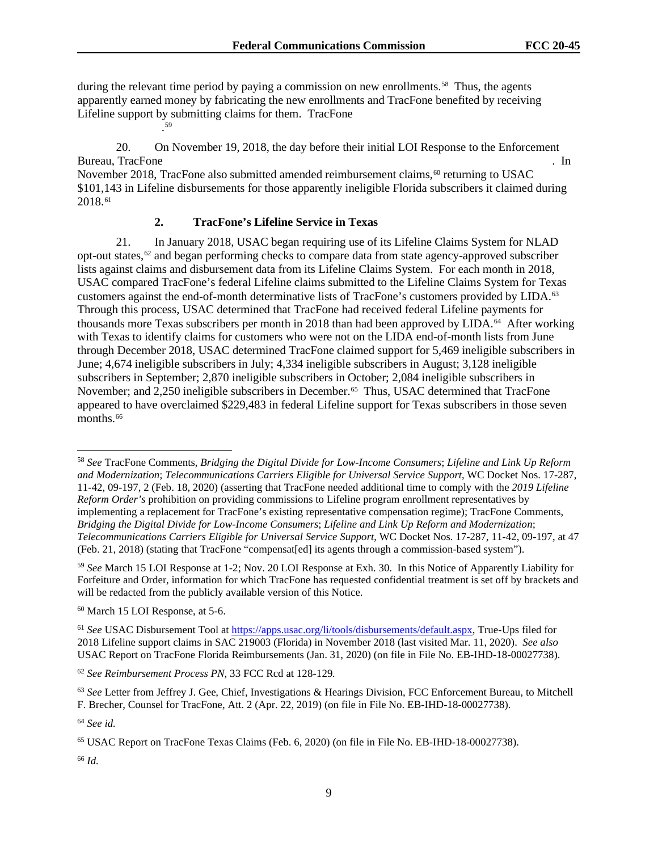during the relevant time period by paying a commission on new enrollments.<sup>58</sup> Thus, the agents apparently earned money by fabricating the new enrollments and TracFone benefited by receiving Lifeline support by submitting claims for them. TracFone

20. On November 19, 2018, the day before their initial LOI Response to the Enforcement Bureau, TracFone . In the set of the set of the set of the set of the set of the set of the set of the set of the set of the set of the set of the set of the set of the set of the set of the set of the set of the set of th November 2018, TracFone also submitted amended reimbursement claims,<sup>60</sup> returning to USAC

\$101,143 in Lifeline disbursements for those apparently ineligible Florida subscribers it claimed during 2018.61

## **2. TracFone's Lifeline Service in Texas**

21. In January 2018, USAC began requiring use of its Lifeline Claims System for NLAD opt-out states, $62$  and began performing checks to compare data from state agency-approved subscriber lists against claims and disbursement data from its Lifeline Claims System. For each month in 2018, USAC compared TracFone's federal Lifeline claims submitted to the Lifeline Claims System for Texas customers against the end-of-month determinative lists of TracFone's customers provided by LIDA.<sup>63</sup> Through this process, USAC determined that TracFone had received federal Lifeline payments for thousands more Texas subscribers per month in 2018 than had been approved by LIDA. 64 After working with Texas to identify claims for customers who were not on the LIDA end-of-month lists from June through December 2018, USAC determined TracFone claimed support for 5,469 ineligible subscribers in June; 4,674 ineligible subscribers in July; 4,334 ineligible subscribers in August; 3,128 ineligible subscribers in September; 2,870 ineligible subscribers in October; 2,084 ineligible subscribers in November; and 2,250 ineligible subscribers in December. 65 Thus, USAC determined that TracFone appeared to have overclaimed \$229,483 in federal Lifeline support for Texas subscribers in those seven months.<sup>66</sup>

<sup>59</sup> *See* March 15 LOI Response at 1-2; Nov. 20 LOI Response at Exh. 30. In this Notice of Apparently Liability for Forfeiture and Order, information for which TracFone has requested confidential treatment is set off by brackets and will be redacted from the publicly available version of this Notice.

<sup>60</sup> March 15 LOI Response, at 5-6.

. 59

<sup>61</sup> *See* USAC Disbursement Tool at https://apps.usac.org/li/tools/disbursements/default.aspx, True-Ups filed for 2018 Lifeline support claims in SAC 219003 (Florida) in November 2018 (last visited Mar. 11, 2020). *See also*  USAC Report on TracFone Florida Reimbursements (Jan. 31, 2020) (on file in File No. EB-IHD-18-00027738).

<sup>62</sup> *See Reimbursement Process PN*, 33 FCC Rcd at 128-129*.* 

<sup>64</sup> *See id.*

<sup>66</sup> *Id.* 

<sup>58</sup> *See* TracFone Comments, *Bridging the Digital Divide for Low-Income Consumers*; *Lifeline and Link Up Reform and Modernization*; *Telecommunications Carriers Eligible for Universal Service Support*, WC Docket Nos. 17-287, 11-42, 09-197, 2 (Feb. 18, 2020) (asserting that TracFone needed additional time to comply with the *2019 Lifeline Reform Order's* prohibition on providing commissions to Lifeline program enrollment representatives by implementing a replacement for TracFone's existing representative compensation regime); TracFone Comments, *Bridging the Digital Divide for Low-Income Consumers*; *Lifeline and Link Up Reform and Modernization*; *Telecommunications Carriers Eligible for Universal Service Support*, WC Docket Nos. 17-287, 11-42, 09-197, at 47 (Feb. 21, 2018) (stating that TracFone "compensat[ed] its agents through a commission-based system").

<sup>63</sup> *See* Letter from Jeffrey J. Gee, Chief, Investigations & Hearings Division, FCC Enforcement Bureau, to Mitchell F. Brecher, Counsel for TracFone, Att. 2 (Apr. 22, 2019) (on file in File No. EB-IHD-18-00027738).

<sup>65</sup> USAC Report on TracFone Texas Claims (Feb. 6, 2020) (on file in File No. EB-IHD-18-00027738).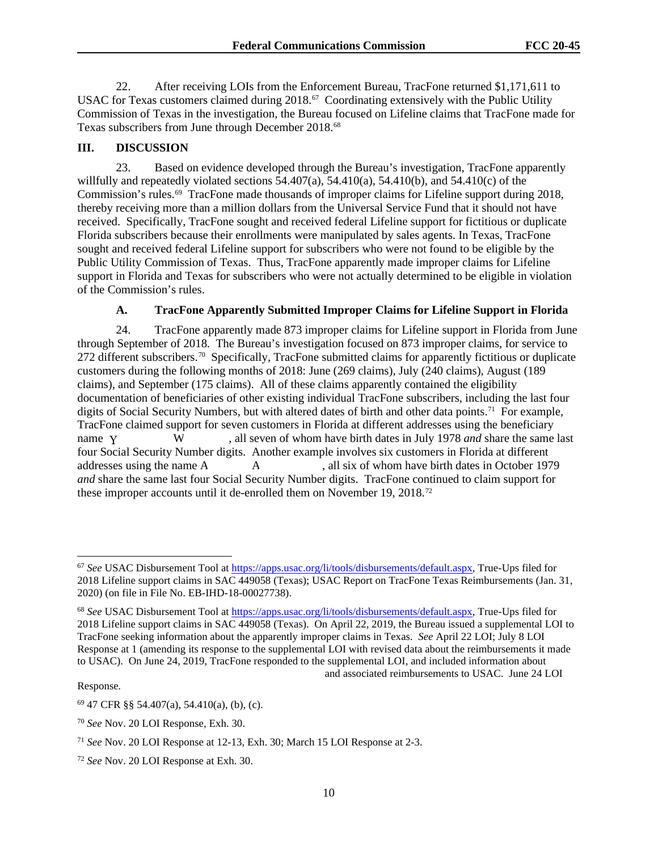22. After receiving LOIs from the Enforcement Bureau, TracFone returned \$1,171,611 to USAC for Texas customers claimed during 2018.<sup>67</sup> Coordinating extensively with the Public Utility Commission of Texas in the investigation, the Bureau focused on Lifeline claims that TracFone made for Texas subscribers from June through December 2018.<sup>68</sup>

## **III. DISCUSSION**

23. Based on evidence developed through the Bureau's investigation, TracFone apparently willfully and repeatedly violated sections  $\overline{54.407(a)}$ ,  $\overline{54.410(a)}$ ,  $\overline{54.410(b)}$ , and  $\overline{54.410(c)}$  of the Commission's rules.69 TracFone made thousands of improper claims for Lifeline support during 2018, thereby receiving more than a million dollars from the Universal Service Fund that it should not have received. Specifically, TracFone sought and received federal Lifeline support for fictitious or duplicate Florida subscribers because their enrollments were manipulated by sales agents. In Texas, TracFone sought and received federal Lifeline support for subscribers who were not found to be eligible by the Public Utility Commission of Texas. Thus, TracFone apparently made improper claims for Lifeline support in Florida and Texas for subscribers who were not actually determined to be eligible in violation of the Commission's rules.

#### **A. TracFone Apparently Submitted Improper Claims for Lifeline Support in Florida**

24. TracFone apparently made 873 improper claims for Lifeline support in Florida from June through September of 2018. The Bureau's investigation focused on 873 improper claims, for service to 272 different subscribers.<sup>70</sup> Specifically, TracFone submitted claims for apparently fictitious or duplicate customers during the following months of 2018: June (269 claims), July (240 claims), August (189 claims), and September (175 claims). All of these claims apparently contained the eligibility documentation of beneficiaries of other existing individual TracFone subscribers, including the last four digits of Social Security Numbers, but with altered dates of birth and other data points.<sup>71</sup> For example, TracFone claimed support for seven customers in Florida at different addresses using the beneficiary W , all seven of whom have birth dates in July 1978 *and* share the same last four Social Security Number digits. Another example involves six customers in Florida at different addresses using the name A  $A$ , all six of whom have birth dates in October 1979 *and* share the same last four Social Security Number digits. TracFone continued to claim support for these improper accounts until it de-enrolled them on November 19, 2018.72 name Y

Response*.*

<sup>67</sup> *See* USAC Disbursement Tool at https://apps.usac.org/li/tools/disbursements/default.aspx, True-Ups filed for 2018 Lifeline support claims in SAC 449058 (Texas); USAC Report on TracFone Texas Reimbursements (Jan. 31, 2020) (on file in File No. EB-IHD-18-00027738).

<sup>68</sup> *See* USAC Disbursement Tool at https://apps.usac.org/li/tools/disbursements/default.aspx, True-Ups filed for 2018 Lifeline support claims in SAC 449058 (Texas). On April 22, 2019, the Bureau issued a supplemental LOI to TracFone seeking information about the apparently improper claims in Texas. *See* April 22 LOI; July 8 LOI Response at 1 (amending its response to the supplemental LOI with revised data about the reimbursements it made to USAC). On June 24, 2019, TracFone responded to the supplemental LOI, and included information about and associated reimbursements to USAC. June 24 LOI

<sup>69</sup> 47 CFR §§ 54.407(a), 54.410(a), (b), (c).

<sup>70</sup> *See* Nov. 20 LOI Response, Exh. 30.

<sup>71</sup> *See* Nov. 20 LOI Response at 12-13, Exh. 30; March 15 LOI Response at 2-3.

<sup>72</sup> *See* Nov. 20 LOI Response at Exh. 30.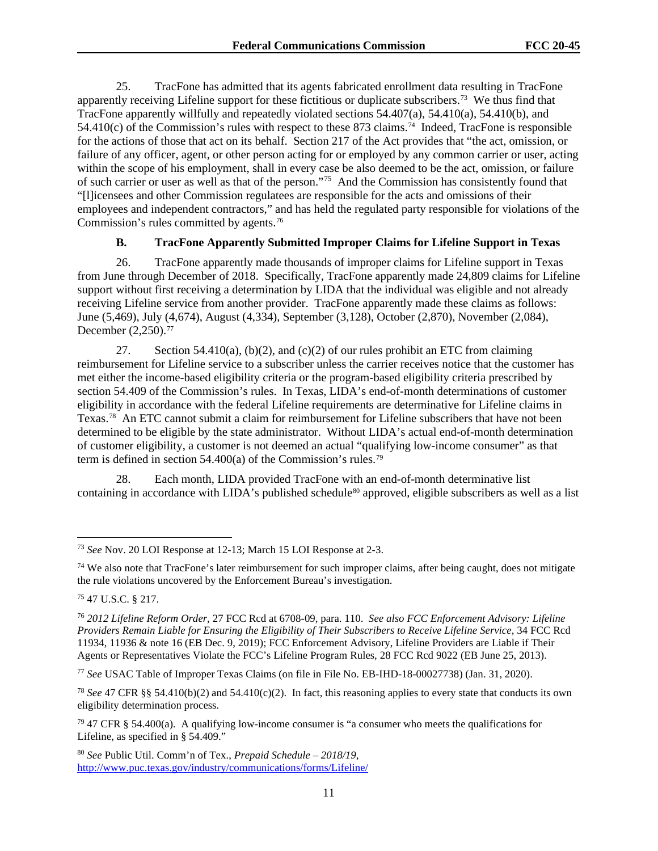25. TracFone has admitted that its agents fabricated enrollment data resulting in TracFone apparently receiving Lifeline support for these fictitious or duplicate subscribers.73 We thus find that TracFone apparently willfully and repeatedly violated sections 54.407(a), 54.410(a), 54.410(b), and 54.410(c) of the Commission's rules with respect to these 873 claims.<sup>74</sup> Indeed, TracFone is responsible for the actions of those that act on its behalf. Section 217 of the Act provides that "the act, omission, or failure of any officer, agent, or other person acting for or employed by any common carrier or user, acting within the scope of his employment, shall in every case be also deemed to be the act, omission, or failure of such carrier or user as well as that of the person."75 And the Commission has consistently found that "[l]icensees and other Commission regulatees are responsible for the acts and omissions of their employees and independent contractors," and has held the regulated party responsible for violations of the Commission's rules committed by agents.76

## **B. TracFone Apparently Submitted Improper Claims for Lifeline Support in Texas**

26. TracFone apparently made thousands of improper claims for Lifeline support in Texas from June through December of 2018. Specifically, TracFone apparently made 24,809 claims for Lifeline support without first receiving a determination by LIDA that the individual was eligible and not already receiving Lifeline service from another provider. TracFone apparently made these claims as follows: June (5,469), July (4,674), August (4,334), September (3,128), October (2,870), November (2,084), December (2,250).77

27. Section 54.410(a), (b)(2), and (c)(2) of our rules prohibit an ETC from claiming reimbursement for Lifeline service to a subscriber unless the carrier receives notice that the customer has met either the income-based eligibility criteria or the program-based eligibility criteria prescribed by section 54.409 of the Commission's rules. In Texas, LIDA's end-of-month determinations of customer eligibility in accordance with the federal Lifeline requirements are determinative for Lifeline claims in Texas.78 An ETC cannot submit a claim for reimbursement for Lifeline subscribers that have not been determined to be eligible by the state administrator. Without LIDA's actual end-of-month determination of customer eligibility, a customer is not deemed an actual "qualifying low-income consumer" as that term is defined in section 54.400(a) of the Commission's rules.79

28. Each month, LIDA provided TracFone with an end-of-month determinative list containing in accordance with LIDA's published schedule<sup>80</sup> approved, eligible subscribers as well as a list

<sup>75</sup> 47 U.S.C. § 217.

<sup>77</sup> *See* USAC Table of Improper Texas Claims (on file in File No. EB-IHD-18-00027738) (Jan. 31, 2020).

<sup>78</sup> *See* 47 CFR §§ 54.410(b)(2) and 54.410(c)(2). In fact, this reasoning applies to every state that conducts its own eligibility determination process.

<sup>80</sup> *See* Public Util. Comm'n of Tex., *Prepaid Schedule – 2018/19*, http://www.puc.texas.gov/industry/communications/forms/Lifeline/

<sup>73</sup> *See* Nov. 20 LOI Response at 12-13; March 15 LOI Response at 2-3.

<sup>&</sup>lt;sup>74</sup> We also note that TracFone's later reimbursement for such improper claims, after being caught, does not mitigate the rule violations uncovered by the Enforcement Bureau's investigation.

<sup>76</sup> *2012 Lifeline Reform Order*, 27 FCC Rcd at 6708-09, para. 110. *See also FCC Enforcement Advisory: Lifeline Providers Remain Liable for Ensuring the Eligibility of Their Subscribers to Receive Lifeline Service,* 34 FCC Rcd 11934, 11936 & note 16 (EB Dec. 9, 2019); FCC Enforcement Advisory, Lifeline Providers are Liable if Their Agents or Representatives Violate the FCC's Lifeline Program Rules, 28 FCC Rcd 9022 (EB June 25, 2013).

 $79$  47 CFR § 54.400(a). A qualifying low-income consumer is "a consumer who meets the qualifications for Lifeline, as specified in § 54.409."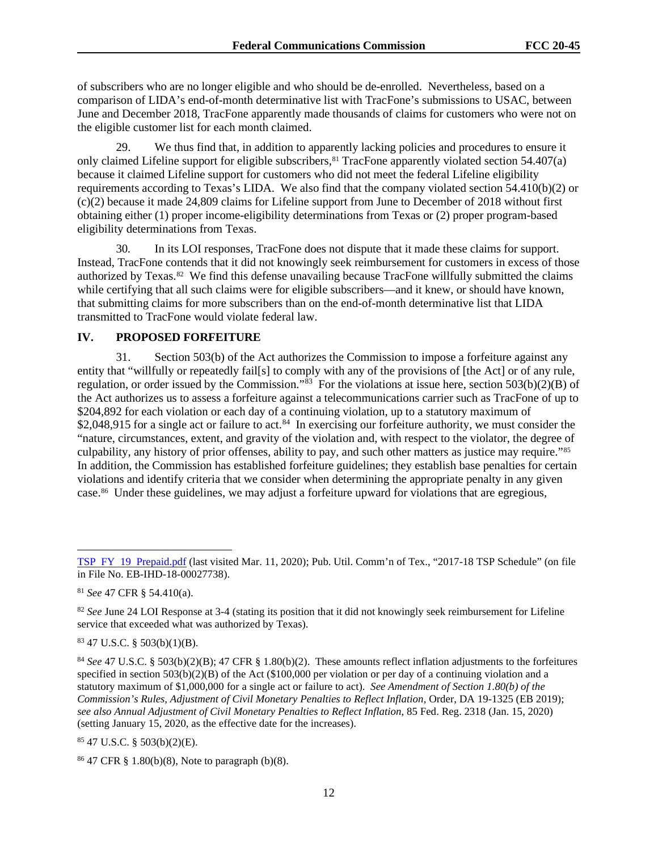of subscribers who are no longer eligible and who should be de-enrolled. Nevertheless, based on a comparison of LIDA's end-of-month determinative list with TracFone's submissions to USAC, between June and December 2018, TracFone apparently made thousands of claims for customers who were not on the eligible customer list for each month claimed.

29. We thus find that, in addition to apparently lacking policies and procedures to ensure it only claimed Lifeline support for eligible subscribers,<sup>81</sup> TracFone apparently violated section 54.407(a) because it claimed Lifeline support for customers who did not meet the federal Lifeline eligibility requirements according to Texas's LIDA. We also find that the company violated section 54.410(b)(2) or (c)(2) because it made 24,809 claims for Lifeline support from June to December of 2018 without first obtaining either (1) proper income-eligibility determinations from Texas or (2) proper program-based eligibility determinations from Texas.

30. In its LOI responses, TracFone does not dispute that it made these claims for support. Instead, TracFone contends that it did not knowingly seek reimbursement for customers in excess of those authorized by Texas.82 We find this defense unavailing because TracFone willfully submitted the claims while certifying that all such claims were for eligible subscribers—and it knew, or should have known, that submitting claims for more subscribers than on the end-of-month determinative list that LIDA transmitted to TracFone would violate federal law.

## **IV. PROPOSED FORFEITURE**

31. Section 503(b) of the Act authorizes the Commission to impose a forfeiture against any entity that "willfully or repeatedly fail[s] to comply with any of the provisions of [the Act] or of any rule, regulation, or order issued by the Commission." $\frac{33}{5}$  For the violations at issue here, section 503(b)(2)(B) of the Act authorizes us to assess a forfeiture against a telecommunications carrier such as TracFone of up to \$204,892 for each violation or each day of a continuing violation, up to a statutory maximum of \$2,048,915 for a single act or failure to act.<sup>84</sup> In exercising our forfeiture authority, we must consider the "nature, circumstances, extent, and gravity of the violation and, with respect to the violator, the degree of culpability, any history of prior offenses, ability to pay, and such other matters as justice may require."85 In addition, the Commission has established forfeiture guidelines; they establish base penalties for certain violations and identify criteria that we consider when determining the appropriate penalty in any given case.86 Under these guidelines, we may adjust a forfeiture upward for violations that are egregious,

<sup>81</sup> *See* 47 CFR § 54.410(a).

<sup>82</sup> *See* June 24 LOI Response at 3-4 (stating its position that it did not knowingly seek reimbursement for Lifeline service that exceeded what was authorized by Texas).

<sup>83</sup> 47 U.S.C. § 503(b)(1)(B).

<sup>84</sup> *See* 47 U.S.C. § 503(b)(2)(B); 47 CFR § 1.80(b)(2). These amounts reflect inflation adjustments to the forfeitures specified in section 503(b)(2)(B) of the Act (\$100,000 per violation or per day of a continuing violation and a statutory maximum of \$1,000,000 for a single act or failure to act). *See Amendment of Section 1.80(b) of the Commission's Rules, Adjustment of Civil Monetary Penalties to Reflect Inflation*, Order, DA 19-1325 (EB 2019); *see also Annual Adjustment of Civil Monetary Penalties to Reflect Inflation*, 85 Fed. Reg. 2318 (Jan. 15, 2020) (setting January 15, 2020, as the effective date for the increases).

<sup>85</sup> 47 U.S.C. § 503(b)(2)(E).

<sup>86</sup> 47 CFR § 1.80(b)(8), Note to paragraph (b)(8).

TSP FY 19 Prepaid.pdf (last visited Mar. 11, 2020); Pub. Util. Comm'n of Tex., "2017-18 TSP Schedule" (on file in File No. EB-IHD-18-00027738).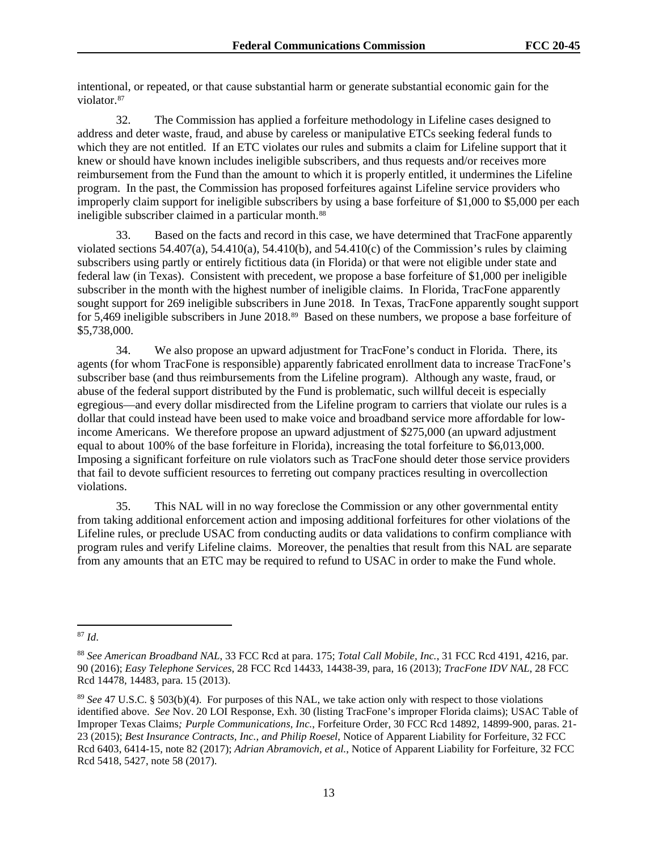intentional, or repeated, or that cause substantial harm or generate substantial economic gain for the violator.<sup>87</sup>

32. The Commission has applied a forfeiture methodology in Lifeline cases designed to address and deter waste, fraud, and abuse by careless or manipulative ETCs seeking federal funds to which they are not entitled. If an ETC violates our rules and submits a claim for Lifeline support that it knew or should have known includes ineligible subscribers, and thus requests and/or receives more reimbursement from the Fund than the amount to which it is properly entitled, it undermines the Lifeline program. In the past, the Commission has proposed forfeitures against Lifeline service providers who improperly claim support for ineligible subscribers by using a base forfeiture of \$1,000 to \$5,000 per each ineligible subscriber claimed in a particular month.<sup>88</sup>

33. Based on the facts and record in this case, we have determined that TracFone apparently violated sections  $54.407(a)$ ,  $54.410(a)$ ,  $54.410(b)$ , and  $54.410(c)$  of the Commission's rules by claiming subscribers using partly or entirely fictitious data (in Florida) or that were not eligible under state and federal law (in Texas). Consistent with precedent, we propose a base forfeiture of \$1,000 per ineligible subscriber in the month with the highest number of ineligible claims. In Florida, TracFone apparently sought support for 269 ineligible subscribers in June 2018. In Texas, TracFone apparently sought support for 5,469 ineligible subscribers in June 2018.<sup>89</sup> Based on these numbers, we propose a base forfeiture of \$5,738,000.

34. We also propose an upward adjustment for TracFone's conduct in Florida. There, its agents (for whom TracFone is responsible) apparently fabricated enrollment data to increase TracFone's subscriber base (and thus reimbursements from the Lifeline program). Although any waste, fraud, or abuse of the federal support distributed by the Fund is problematic, such willful deceit is especially egregious—and every dollar misdirected from the Lifeline program to carriers that violate our rules is a dollar that could instead have been used to make voice and broadband service more affordable for lowincome Americans. We therefore propose an upward adjustment of \$275,000 (an upward adjustment equal to about 100% of the base forfeiture in Florida), increasing the total forfeiture to \$6,013,000. Imposing a significant forfeiture on rule violators such as TracFone should deter those service providers that fail to devote sufficient resources to ferreting out company practices resulting in overcollection violations.

35. This NAL will in no way foreclose the Commission or any other governmental entity from taking additional enforcement action and imposing additional forfeitures for other violations of the Lifeline rules, or preclude USAC from conducting audits or data validations to confirm compliance with program rules and verify Lifeline claims. Moreover, the penalties that result from this NAL are separate from any amounts that an ETC may be required to refund to USAC in order to make the Fund whole.

<sup>87</sup> *Id*.

<sup>88</sup> *See American Broadband NAL*, 33 FCC Rcd at para. 175; *Total Call Mobile, Inc.*, 31 FCC Rcd 4191, 4216, par. 90 (2016); *Easy Telephone Services*, 28 FCC Rcd 14433, 14438-39, para, 16 (2013); *TracFone IDV NAL*, 28 FCC Rcd 14478, 14483, para. 15 (2013).

<sup>89</sup> *See* 47 U.S.C. § 503(b)(4). For purposes of this NAL, we take action only with respect to those violations identified above. *See* Nov. 20 LOI Response, Exh. 30 (listing TracFone's improper Florida claims); USAC Table of Improper Texas Claims*; Purple Communications, Inc.*, Forfeiture Order, 30 FCC Rcd 14892, 14899-900, paras. 21- 23 (2015); *Best Insurance Contracts, Inc., and Philip Roesel*, Notice of Apparent Liability for Forfeiture, 32 FCC Rcd 6403, 6414-15, note 82 (2017); *Adrian Abramovich, et al.*, Notice of Apparent Liability for Forfeiture, 32 FCC Rcd 5418, 5427, note 58 (2017).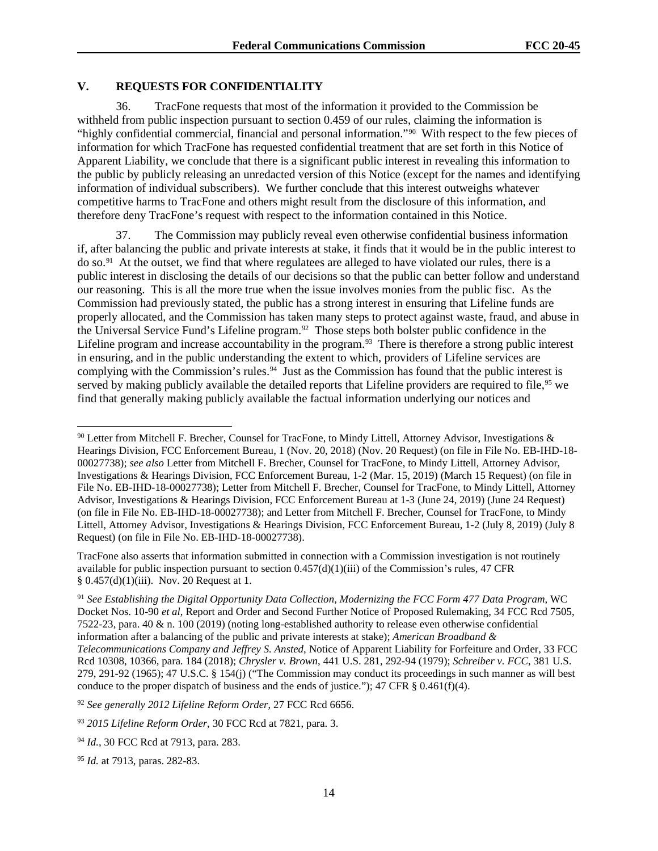## **V. REQUESTS FOR CONFIDENTIALITY**

36. TracFone requests that most of the information it provided to the Commission be withheld from public inspection pursuant to section 0.459 of our rules, claiming the information is "highly confidential commercial, financial and personal information."90 With respect to the few pieces of information for which TracFone has requested confidential treatment that are set forth in this Notice of Apparent Liability, we conclude that there is a significant public interest in revealing this information to the public by publicly releasing an unredacted version of this Notice (except for the names and identifying information of individual subscribers). We further conclude that this interest outweighs whatever competitive harms to TracFone and others might result from the disclosure of this information, and therefore deny TracFone's request with respect to the information contained in this Notice.

37. The Commission may publicly reveal even otherwise confidential business information if, after balancing the public and private interests at stake, it finds that it would be in the public interest to do so.91 At the outset, we find that where regulatees are alleged to have violated our rules, there is a public interest in disclosing the details of our decisions so that the public can better follow and understand our reasoning. This is all the more true when the issue involves monies from the public fisc. As the Commission had previously stated, the public has a strong interest in ensuring that Lifeline funds are properly allocated, and the Commission has taken many steps to protect against waste, fraud, and abuse in the Universal Service Fund's Lifeline program.<sup>92</sup> Those steps both bolster public confidence in the Lifeline program and increase accountability in the program.<sup>93</sup> There is therefore a strong public interest in ensuring, and in the public understanding the extent to which, providers of Lifeline services are complying with the Commission's rules.<sup>94</sup> Just as the Commission has found that the public interest is served by making publicly available the detailed reports that Lifeline providers are required to file,<sup>95</sup> we find that generally making publicly available the factual information underlying our notices and

TracFone also asserts that information submitted in connection with a Commission investigation is not routinely available for public inspection pursuant to section  $0.457(d)(1)(iii)$  of the Commission's rules, 47 CFR § 0.457(d)(1)(iii). Nov. 20 Request at 1.

<sup>91</sup> *See Establishing the Digital Opportunity Data Collection, Modernizing the FCC Form 477 Data Program,* WC Docket Nos. 10-90 *et al*, Report and Order and Second Further Notice of Proposed Rulemaking, 34 FCC Rcd 7505, 7522-23, para. 40 & n. 100 (2019) (noting long-established authority to release even otherwise confidential information after a balancing of the public and private interests at stake); *American Broadband & Telecommunications Company and Jeffrey S. Ansted*, Notice of Apparent Liability for Forfeiture and Order, 33 FCC Rcd 10308, 10366, para. 184 (2018); *Chrysler v. Brown*, 441 U.S. 281, 292-94 (1979); *Schreiber v. FCC*, 381 U.S. 279, 291-92 (1965); 47 U.S.C. § 154(j) ("The Commission may conduct its proceedings in such manner as will best conduce to the proper dispatch of business and the ends of justice."); 47 CFR  $\S$  0.461(f)(4).

<sup>92</sup> *See generally 2012 Lifeline Reform Order*, 27 FCC Rcd 6656.

<sup>93</sup> *2015 Lifeline Reform Order*, 30 FCC Rcd at 7821, para. 3.

 $90$  Letter from Mitchell F. Brecher, Counsel for TracFone, to Mindy Littell, Attorney Advisor, Investigations & Hearings Division, FCC Enforcement Bureau, 1 (Nov. 20, 2018) (Nov. 20 Request) (on file in File No. EB-IHD-18- 00027738); *see also* Letter from Mitchell F. Brecher, Counsel for TracFone, to Mindy Littell, Attorney Advisor, Investigations & Hearings Division, FCC Enforcement Bureau, 1-2 (Mar. 15, 2019) (March 15 Request) (on file in File No. EB-IHD-18-00027738); Letter from Mitchell F. Brecher, Counsel for TracFone, to Mindy Littell, Attorney Advisor, Investigations & Hearings Division, FCC Enforcement Bureau at 1-3 (June 24, 2019) (June 24 Request) (on file in File No. EB-IHD-18-00027738); and Letter from Mitchell F. Brecher, Counsel for TracFone, to Mindy Littell, Attorney Advisor, Investigations & Hearings Division, FCC Enforcement Bureau, 1-2 (July 8, 2019) (July 8 Request) (on file in File No. EB-IHD-18-00027738).

<sup>94</sup> *Id.*, 30 FCC Rcd at 7913, para. 283.

<sup>95</sup> *Id.* at 7913, paras. 282-83.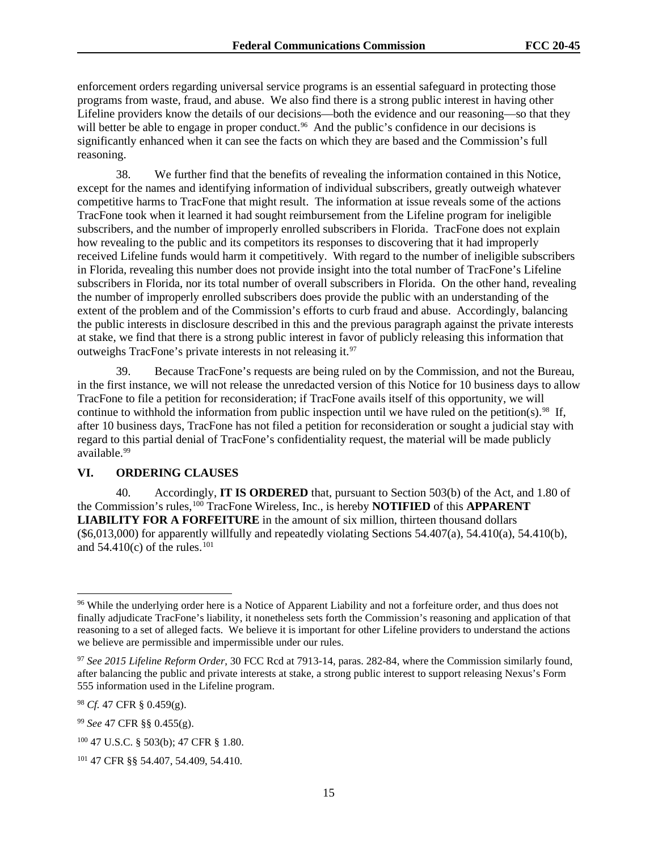enforcement orders regarding universal service programs is an essential safeguard in protecting those programs from waste, fraud, and abuse. We also find there is a strong public interest in having other Lifeline providers know the details of our decisions—both the evidence and our reasoning—so that they will better be able to engage in proper conduct.<sup>96</sup> And the public's confidence in our decisions is significantly enhanced when it can see the facts on which they are based and the Commission's full reasoning.

38. We further find that the benefits of revealing the information contained in this Notice, except for the names and identifying information of individual subscribers, greatly outweigh whatever competitive harms to TracFone that might result. The information at issue reveals some of the actions TracFone took when it learned it had sought reimbursement from the Lifeline program for ineligible subscribers, and the number of improperly enrolled subscribers in Florida. TracFone does not explain how revealing to the public and its competitors its responses to discovering that it had improperly received Lifeline funds would harm it competitively. With regard to the number of ineligible subscribers in Florida, revealing this number does not provide insight into the total number of TracFone's Lifeline subscribers in Florida, nor its total number of overall subscribers in Florida. On the other hand, revealing the number of improperly enrolled subscribers does provide the public with an understanding of the extent of the problem and of the Commission's efforts to curb fraud and abuse. Accordingly, balancing the public interests in disclosure described in this and the previous paragraph against the private interests at stake, we find that there is a strong public interest in favor of publicly releasing this information that outweighs TracFone's private interests in not releasing it. 97

39. Because TracFone's requests are being ruled on by the Commission, and not the Bureau, in the first instance, we will not release the unredacted version of this Notice for 10 business days to allow TracFone to file a petition for reconsideration; if TracFone avails itself of this opportunity, we will continue to withhold the information from public inspection until we have ruled on the petition(s).<sup>98</sup> If, after 10 business days, TracFone has not filed a petition for reconsideration or sought a judicial stay with regard to this partial denial of TracFone's confidentiality request, the material will be made publicly available.99

## **VI. ORDERING CLAUSES**

40. Accordingly, **IT IS ORDERED** that, pursuant to Section 503(b) of the Act, and 1.80 of the Commission's rules,100 TracFone Wireless, Inc., is hereby **NOTIFIED** of this **APPARENT LIABILITY FOR A FORFEITURE** in the amount of six million, thirteen thousand dollars  $(\$6,013,000)$  for apparently willfully and repeatedly violating Sections 54.407(a), 54.410(a), 54.410(b), and  $54.410(c)$  of the rules.<sup>101</sup>

<sup>98</sup> *Cf.* 47 CFR § 0.459(g).

<sup>&</sup>lt;sup>96</sup> While the underlying order here is a Notice of Apparent Liability and not a forfeiture order, and thus does not finally adjudicate TracFone's liability, it nonetheless sets forth the Commission's reasoning and application of that reasoning to a set of alleged facts. We believe it is important for other Lifeline providers to understand the actions we believe are permissible and impermissible under our rules.

<sup>97</sup> *See 2015 Lifeline Reform Order*, 30 FCC Rcd at 7913-14, paras. 282-84, where the Commission similarly found, after balancing the public and private interests at stake, a strong public interest to support releasing Nexus's Form 555 information used in the Lifeline program.

<sup>99</sup> *See* 47 CFR §§ 0.455(g).

<sup>100</sup> 47 U.S.C. § 503(b); 47 CFR § 1.80.

<sup>101</sup> 47 CFR §§ 54.407, 54.409, 54.410.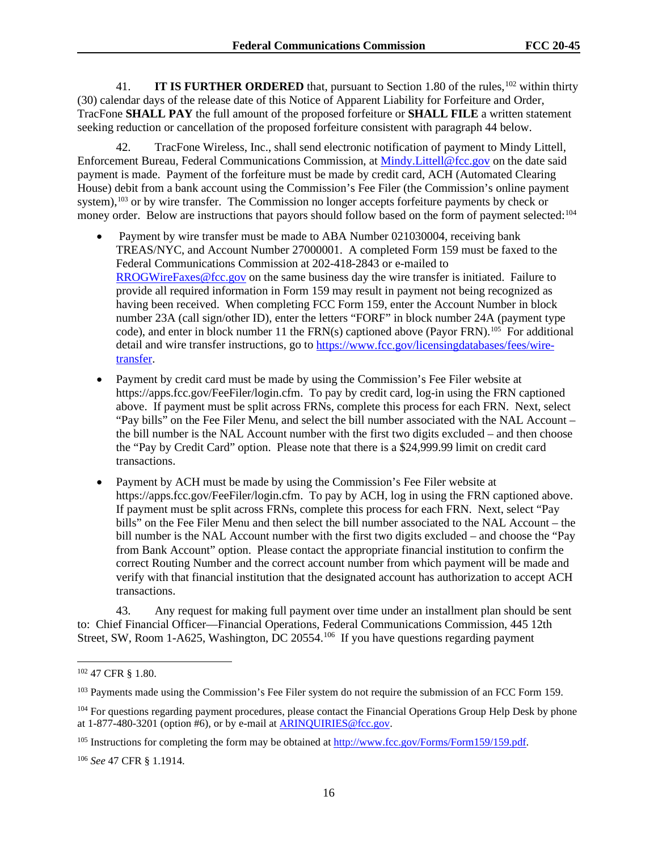41. **IT IS FURTHER ORDERED** that, pursuant to Section 1.80 of the rules, <sup>102</sup> within thirty (30) calendar days of the release date of this Notice of Apparent Liability for Forfeiture and Order, TracFone **SHALL PAY** the full amount of the proposed forfeiture or **SHALL FILE** a written statement seeking reduction or cancellation of the proposed forfeiture consistent with paragraph 44 below.

42. TracFone Wireless, Inc., shall send electronic notification of payment to Mindy Littell, Enforcement Bureau, Federal Communications Commission, at Mindy.Littell@fcc.gov on the date said payment is made. Payment of the forfeiture must be made by credit card, ACH (Automated Clearing House) debit from a bank account using the Commission's Fee Filer (the Commission's online payment system),<sup>103</sup> or by wire transfer. The Commission no longer accepts forfeiture payments by check or money order. Below are instructions that payors should follow based on the form of payment selected:<sup>104</sup>

- Payment by wire transfer must be made to ABA Number 021030004, receiving bank TREAS/NYC, and Account Number 27000001. A completed Form 159 must be faxed to the Federal Communications Commission at 202-418-2843 or e-mailed to RROGWireFaxes@fcc.gov on the same business day the wire transfer is initiated. Failure to provide all required information in Form 159 may result in payment not being recognized as having been received. When completing FCC Form 159, enter the Account Number in block number 23A (call sign/other ID), enter the letters "FORF" in block number 24A (payment type code), and enter in block number 11 the FRN(s) captioned above (Payor FRN).<sup>105</sup> For additional detail and wire transfer instructions, go to https://www.fcc.gov/licensingdatabases/fees/wiretransfer.
- Payment by credit card must be made by using the Commission's Fee Filer website at https://apps.fcc.gov/FeeFiler/login.cfm. To pay by credit card, log-in using the FRN captioned above. If payment must be split across FRNs, complete this process for each FRN. Next, select "Pay bills" on the Fee Filer Menu, and select the bill number associated with the NAL Account – the bill number is the NAL Account number with the first two digits excluded – and then choose the "Pay by Credit Card" option. Please note that there is a \$24,999.99 limit on credit card transactions.
- Payment by ACH must be made by using the Commission's Fee Filer website at https://apps.fcc.gov/FeeFiler/login.cfm. To pay by ACH, log in using the FRN captioned above. If payment must be split across FRNs, complete this process for each FRN. Next, select "Pay bills" on the Fee Filer Menu and then select the bill number associated to the NAL Account – the bill number is the NAL Account number with the first two digits excluded – and choose the "Pay from Bank Account" option. Please contact the appropriate financial institution to confirm the correct Routing Number and the correct account number from which payment will be made and verify with that financial institution that the designated account has authorization to accept ACH transactions.

43. Any request for making full payment over time under an installment plan should be sent to: Chief Financial Officer—Financial Operations, Federal Communications Commission, 445 12th Street, SW, Room 1-A625, Washington, DC 20554.<sup>106</sup> If you have questions regarding payment

<sup>102</sup> 47 CFR § 1.80.

<sup>&</sup>lt;sup>103</sup> Payments made using the Commission's Fee Filer system do not require the submission of an FCC Form 159.

<sup>&</sup>lt;sup>104</sup> For questions regarding payment procedures, please contact the Financial Operations Group Help Desk by phone at 1-877-480-3201 (option #6), or by e-mail at ARINQUIRIES@fcc.gov.

<sup>&</sup>lt;sup>105</sup> Instructions for completing the form may be obtained at http://www.fcc.gov/Forms/Form159/159.pdf.

<sup>106</sup> *See* 47 CFR § 1.1914.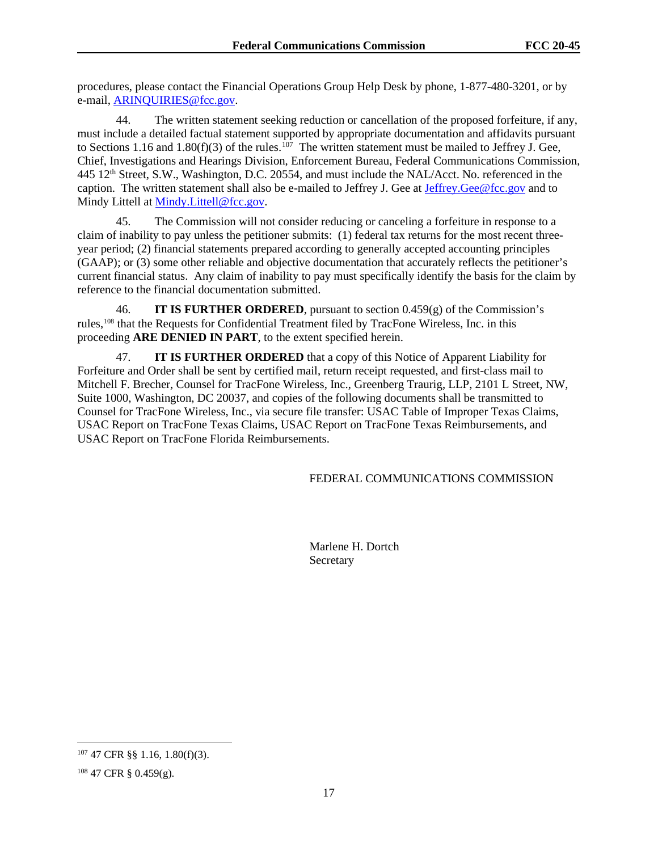procedures, please contact the Financial Operations Group Help Desk by phone, 1-877-480-3201, or by e-mail, ARINQUIRIES@fcc.gov.

44. The written statement seeking reduction or cancellation of the proposed forfeiture, if any, must include a detailed factual statement supported by appropriate documentation and affidavits pursuant to Sections 1.16 and 1.80(f)(3) of the rules.<sup>107</sup> The written statement must be mailed to Jeffrey J. Gee, Chief, Investigations and Hearings Division, Enforcement Bureau, Federal Communications Commission, 445 12th Street, S.W., Washington, D.C. 20554, and must include the NAL/Acct. No. referenced in the caption. The written statement shall also be e-mailed to Jeffrey J. Gee at Jeffrey.Gee@fcc.gov and to Mindy Littell at Mindy. Littell@fcc.gov.

45. The Commission will not consider reducing or canceling a forfeiture in response to a claim of inability to pay unless the petitioner submits: (1) federal tax returns for the most recent threeyear period; (2) financial statements prepared according to generally accepted accounting principles (GAAP); or (3) some other reliable and objective documentation that accurately reflects the petitioner's current financial status. Any claim of inability to pay must specifically identify the basis for the claim by reference to the financial documentation submitted.

46. **IT IS FURTHER ORDERED**, pursuant to section 0.459(g) of the Commission's rules,108 that the Requests for Confidential Treatment filed by TracFone Wireless, Inc. in this proceeding **ARE DENIED IN PART**, to the extent specified herein.

47. **IT IS FURTHER ORDERED** that a copy of this Notice of Apparent Liability for Forfeiture and Order shall be sent by certified mail, return receipt requested, and first-class mail to Mitchell F. Brecher, Counsel for TracFone Wireless, Inc., Greenberg Traurig, LLP, 2101 L Street, NW, Suite 1000, Washington, DC 20037, and copies of the following documents shall be transmitted to Counsel for TracFone Wireless, Inc., via secure file transfer: USAC Table of Improper Texas Claims, USAC Report on TracFone Texas Claims, USAC Report on TracFone Texas Reimbursements, and USAC Report on TracFone Florida Reimbursements.

FEDERAL COMMUNICATIONS COMMISSION

 Marlene H. Dortch Secretary

<sup>107</sup> 47 CFR §§ 1.16, 1.80(f)(3).

 $108$  47 CFR § 0.459(g).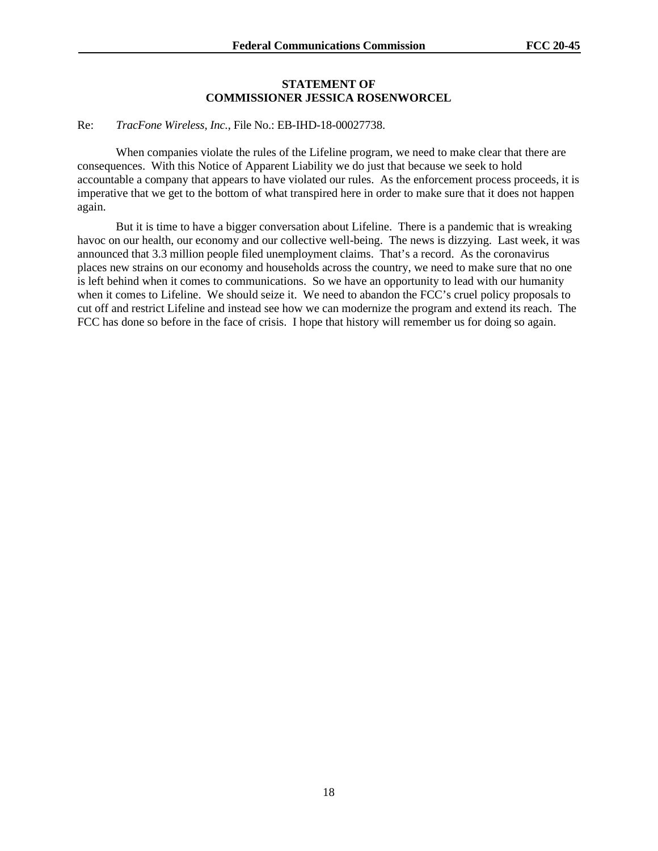#### **STATEMENT OF COMMISSIONER JESSICA ROSENWORCEL**

#### Re: *TracFone Wireless, Inc.*, File No.: EB-IHD-18-00027738.

When companies violate the rules of the Lifeline program, we need to make clear that there are consequences. With this Notice of Apparent Liability we do just that because we seek to hold accountable a company that appears to have violated our rules. As the enforcement process proceeds, it is imperative that we get to the bottom of what transpired here in order to make sure that it does not happen again.

But it is time to have a bigger conversation about Lifeline. There is a pandemic that is wreaking havoc on our health, our economy and our collective well-being. The news is dizzying. Last week, it was announced that 3.3 million people filed unemployment claims. That's a record. As the coronavirus places new strains on our economy and households across the country, we need to make sure that no one is left behind when it comes to communications. So we have an opportunity to lead with our humanity when it comes to Lifeline. We should seize it. We need to abandon the FCC's cruel policy proposals to cut off and restrict Lifeline and instead see how we can modernize the program and extend its reach. The FCC has done so before in the face of crisis. I hope that history will remember us for doing so again.